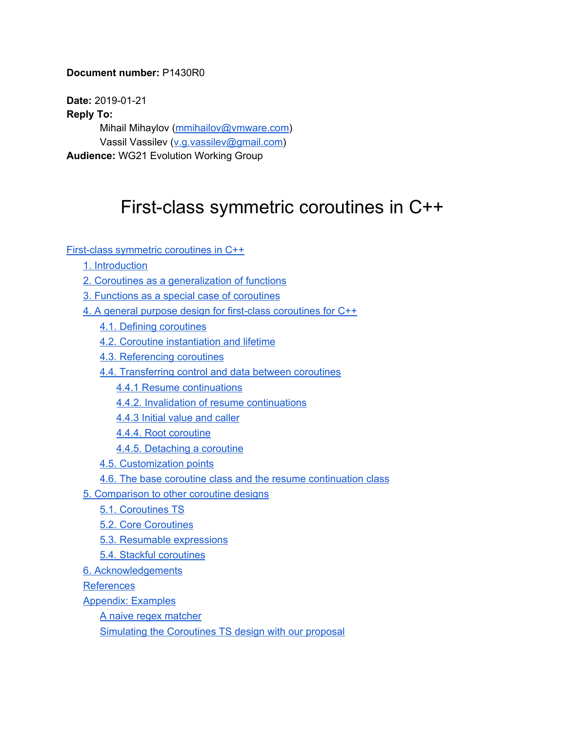## **Document number:** P1430R0

**Date:** 2019-01-21 **Reply To:** Mihail Mihaylov ([mmihailov@vmware.com\)](mailto:mmihailov@vmware.com) Vassil Vassilev [\(v.g.vassilev@gmail.com](mailto:v.g.vassilev@gmail.com)) **Audience:** WG21 Evolution Working Group

# <span id="page-0-0"></span>First-class symmetric coroutines in C++

First-class symmetric [coroutines](#page-0-0) in C++

- 1. [Introduction](#page-1-0)
- 2. Coroutines as a [generalization](#page-1-1) of functions
- 3. Functions as a special case of [coroutines](#page-3-0)
- 4. A general purpose design for first-class [coroutines](#page-3-1) for C++
	- 4.1. Defining [coroutines](#page-3-2)
	- 4.2. Coroutine [instantiation](#page-6-0) and lifetime
	- 4.3. [Referencing](#page-7-0) coroutines
	- 4.4. [Transferring](#page-8-0) control and data between coroutines
		- 4.4.1 Resume [continuations](#page-8-1)
		- 4.4.2. Invalidation of resume [continuations](#page-11-0)
		- 4.4.3 Initial [value](#page-12-0) and caller
		- 4.4.4. Root [coroutine](#page-13-0)
		- 4.4.5. [Detaching](#page-15-0) a coroutine
	- 4.5. [Customization](#page-17-0) points
	- 4.6. The base coroutine class and the resume [continuation](#page-18-0) class
- 5. [Comparison](#page-22-0) to other coroutine designs
	- 5.1. [Coroutines](#page-22-1) TS
	- 5.2. Core [Coroutines](#page-23-0)
	- 5.3. Resumable [expressions](#page-24-0)
	- 5.4. Stackful [coroutines](#page-24-1)
- 6. [Acknowledgements](#page-25-0)

[References](#page-25-1)

- [Appendix:](#page-25-2) Examples
	- A naive regex [matcher](#page-25-3)
	- Simulating the [Coroutines](#page-29-0) TS design with our proposal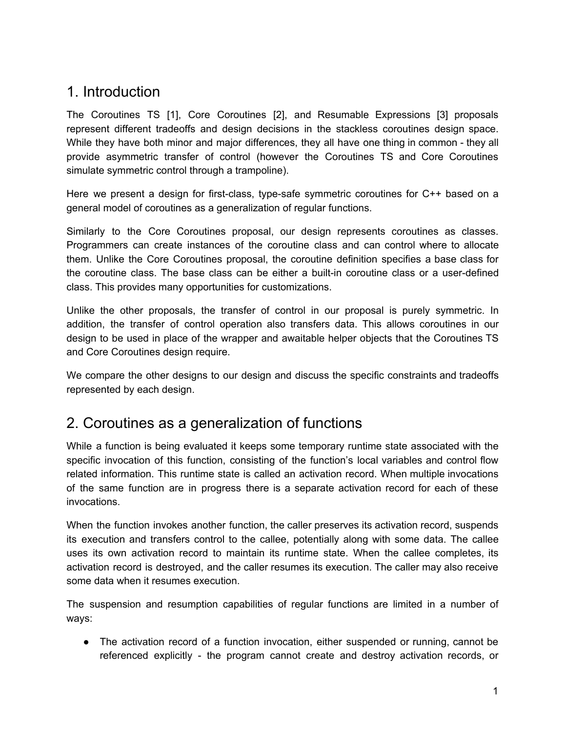# <span id="page-1-0"></span>1. Introduction

The Coroutines TS [1], Core Coroutines [2], and Resumable Expressions [3] proposals represent different tradeoffs and design decisions in the stackless coroutines design space. While they have both minor and major differences, they all have one thing in common - they all provide asymmetric transfer of control (however the Coroutines TS and Core Coroutines simulate symmetric control through a trampoline).

Here we present a design for first-class, type-safe symmetric coroutines for C++ based on a general model of coroutines as a generalization of regular functions.

Similarly to the Core Coroutines proposal, our design represents coroutines as classes. Programmers can create instances of the coroutine class and can control where to allocate them. Unlike the Core Coroutines proposal, the coroutine definition specifies a base class for the coroutine class. The base class can be either a built-in coroutine class or a user-defined class. This provides many opportunities for customizations.

Unlike the other proposals, the transfer of control in our proposal is purely symmetric. In addition, the transfer of control operation also transfers data. This allows coroutines in our design to be used in place of the wrapper and awaitable helper objects that the Coroutines TS and Core Coroutines design require.

We compare the other designs to our design and discuss the specific constraints and tradeoffs represented by each design.

# <span id="page-1-1"></span>2. Coroutines as a generalization of functions

While a function is being evaluated it keeps some temporary runtime state associated with the specific invocation of this function, consisting of the function's local variables and control flow related information. This runtime state is called an activation record. When multiple invocations of the same function are in progress there is a separate activation record for each of these invocations.

When the function invokes another function, the caller preserves its activation record, suspends its execution and transfers control to the callee, potentially along with some data. The callee uses its own activation record to maintain its runtime state. When the callee completes, its activation record is destroyed, and the caller resumes its execution. The caller may also receive some data when it resumes execution.

The suspension and resumption capabilities of regular functions are limited in a number of ways:

• The activation record of a function invocation, either suspended or running, cannot be referenced explicitly - the program cannot create and destroy activation records, or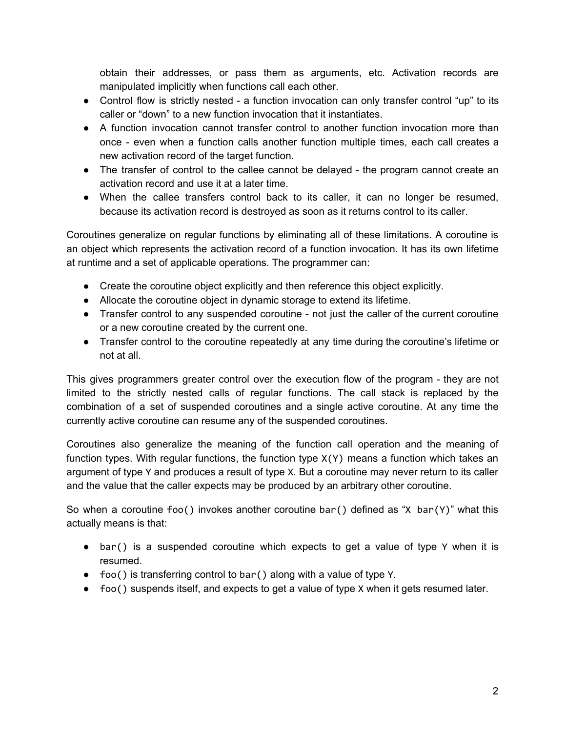obtain their addresses, or pass them as arguments, etc. Activation records are manipulated implicitly when functions call each other.

- Control flow is strictly nested a function invocation can only transfer control "up" to its caller or "down" to a new function invocation that it instantiates.
- A function invocation cannot transfer control to another function invocation more than once - even when a function calls another function multiple times, each call creates a new activation record of the target function.
- The transfer of control to the callee cannot be delayed the program cannot create an activation record and use it at a later time.
- When the callee transfers control back to its caller, it can no longer be resumed, because its activation record is destroyed as soon as it returns control to its caller.

Coroutines generalize on regular functions by eliminating all of these limitations. A coroutine is an object which represents the activation record of a function invocation. It has its own lifetime at runtime and a set of applicable operations. The programmer can:

- Create the coroutine object explicitly and then reference this object explicitly.
- Allocate the coroutine object in dynamic storage to extend its lifetime.
- Transfer control to any suspended coroutine not just the caller of the current coroutine or a new coroutine created by the current one.
- Transfer control to the coroutine repeatedly at any time during the coroutine's lifetime or not at all.

This gives programmers greater control over the execution flow of the program - they are not limited to the strictly nested calls of regular functions. The call stack is replaced by the combination of a set of suspended coroutines and a single active coroutine. At any time the currently active coroutine can resume any of the suspended coroutines.

Coroutines also generalize the meaning of the function call operation and the meaning of function types. With regular functions, the function type  $X(Y)$  means a function which takes an argument of type Y and produces a result of type X. But a coroutine may never return to its caller and the value that the caller expects may be produced by an arbitrary other coroutine.

So when a coroutine foo() invokes another coroutine bar() defined as "X bar(Y)" what this actually means is that:

- bar() is a suspended coroutine which expects to get a value of type Y when it is resumed.
- foo() is transferring control to bar() along with a value of type Y.
- foo() suspends itself, and expects to get a value of type X when it gets resumed later.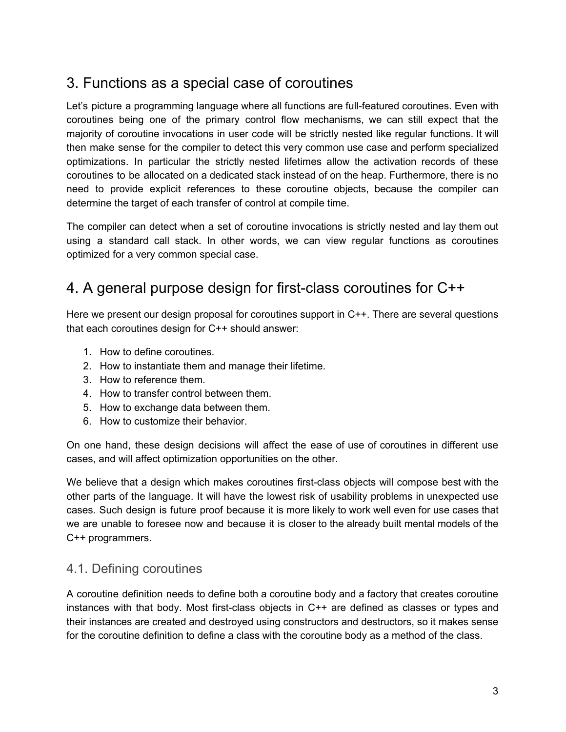# <span id="page-3-0"></span>3. Functions as a special case of coroutines

Let's picture a programming language where all functions are full-featured coroutines. Even with coroutines being one of the primary control flow mechanisms, we can still expect that the majority of coroutine invocations in user code will be strictly nested like regular functions. It will then make sense for the compiler to detect this very common use case and perform specialized optimizations. In particular the strictly nested lifetimes allow the activation records of these coroutines to be allocated on a dedicated stack instead of on the heap. Furthermore, there is no need to provide explicit references to these coroutine objects, because the compiler can determine the target of each transfer of control at compile time.

The compiler can detect when a set of coroutine invocations is strictly nested and lay them out using a standard call stack. In other words, we can view regular functions as coroutines optimized for a very common special case.

# <span id="page-3-1"></span>4. A general purpose design for first-class coroutines for C++

Here we present our design proposal for coroutines support in C++. There are several questions that each coroutines design for C++ should answer:

- 1. How to define coroutines.
- 2. How to instantiate them and manage their lifetime.
- 3. How to reference them.
- 4. How to transfer control between them.
- 5. How to exchange data between them.
- 6. How to customize their behavior.

On one hand, these design decisions will affect the ease of use of coroutines in different use cases, and will affect optimization opportunities on the other.

We believe that a design which makes coroutines first-class objects will compose best with the other parts of the language. It will have the lowest risk of usability problems in unexpected use cases. Such design is future proof because it is more likely to work well even for use cases that we are unable to foresee now and because it is closer to the already built mental models of the C++ programmers.

# <span id="page-3-2"></span>4.1. Defining coroutines

A coroutine definition needs to define both a coroutine body and a factory that creates coroutine instances with that body. Most first-class objects in C++ are defined as classes or types and their instances are created and destroyed using constructors and destructors, so it makes sense for the coroutine definition to define a class with the coroutine body as a method of the class.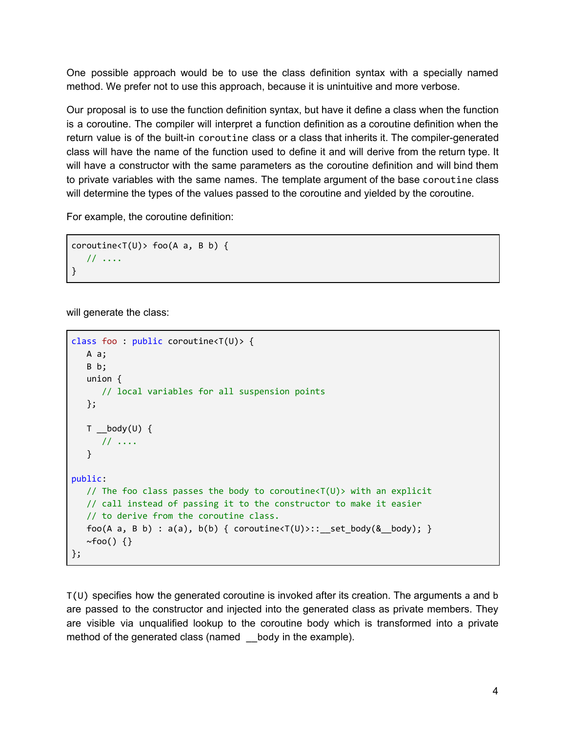One possible approach would be to use the class definition syntax with a specially named method. We prefer not to use this approach, because it is unintuitive and more verbose.

Our proposal is to use the function definition syntax, but have it define a class when the function is a coroutine. The compiler will interpret a function definition as a coroutine definition when the return value is of the built-in coroutine class or a class that inherits it. The compiler-generated class will have the name of the function used to define it and will derive from the return type. It will have a constructor with the same parameters as the coroutine definition and will bind them to private variables with the same names. The template argument of the base coroutine class will determine the types of the values passed to the coroutine and yielded by the coroutine.

For example, the coroutine definition:

```
coroutines < T(U) > foo(A \ a, B \ b) {
   // ....
}
```
will generate the class:

```
class foo : public coroutine<T(U)> {
  A a;
  B b;
  union {
     // local variables for all suspension points
  };
  T _body(U) {
     // ....
  }
public:
  // The foo class passes the body to coroutine<T(U)> with an explicit
  // call instead of passing it to the constructor to make it easier
  // to derive from the coroutine class.
  foo(A a, B b) : a(a), b(b) { coroutine<T(U)>:: _set_body(&_body); }
  ~\simfoo() {}
};
```
T(U) specifies how the generated coroutine is invoked after its creation. The arguments a and b are passed to the constructor and injected into the generated class as private members. They are visible via unqualified lookup to the coroutine body which is transformed into a private method of the generated class (named body in the example).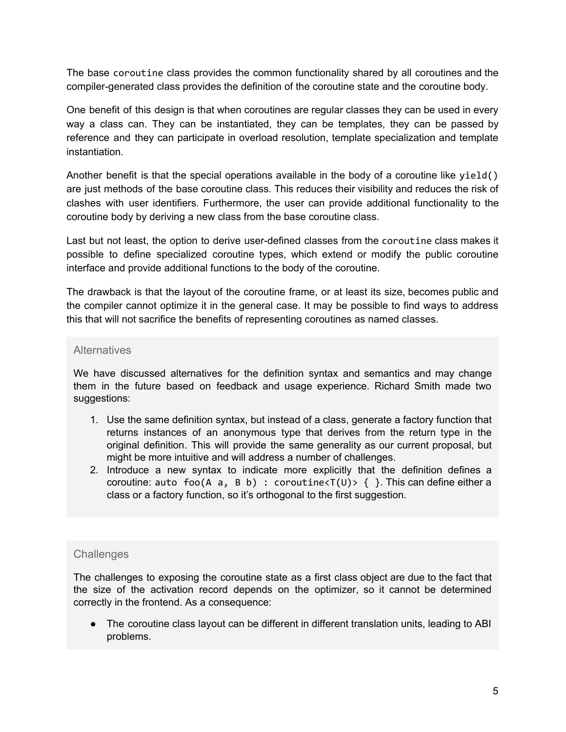The base coroutine class provides the common functionality shared by all coroutines and the compiler-generated class provides the definition of the coroutine state and the coroutine body.

One benefit of this design is that when coroutines are regular classes they can be used in every way a class can. They can be instantiated, they can be templates, they can be passed by reference and they can participate in overload resolution, template specialization and template instantiation.

Another benefit is that the special operations available in the body of a coroutine like  $yield()$ are just methods of the base coroutine class. This reduces their visibility and reduces the risk of clashes with user identifiers. Furthermore, the user can provide additional functionality to the coroutine body by deriving a new class from the base coroutine class.

Last but not least, the option to derive user-defined classes from the coroutine class makes it possible to define specialized coroutine types, which extend or modify the public coroutine interface and provide additional functions to the body of the coroutine.

The drawback is that the layout of the coroutine frame, or at least its size, becomes public and the compiler cannot optimize it in the general case. It may be possible to find ways to address this that will not sacrifice the benefits of representing coroutines as named classes.

## **Alternatives**

We have discussed alternatives for the definition syntax and semantics and may change them in the future based on feedback and usage experience. Richard Smith made two suggestions:

- 1. Use the same definition syntax, but instead of a class, generate a factory function that returns instances of an anonymous type that derives from the return type in the original definition. This will provide the same generality as our current proposal, but might be more intuitive and will address a number of challenges.
- 2. Introduce a new syntax to indicate more explicitly that the definition defines a coroutine: auto foo(A a, B b) : coroutine<T(U)> { }. This can define either a class or a factory function, so it's orthogonal to the first suggestion.

## **Challenges**

The challenges to exposing the coroutine state as a first class object are due to the fact that the size of the activation record depends on the optimizer, so it cannot be determined correctly in the frontend. As a consequence:

• The coroutine class layout can be different in different translation units, leading to ABI problems.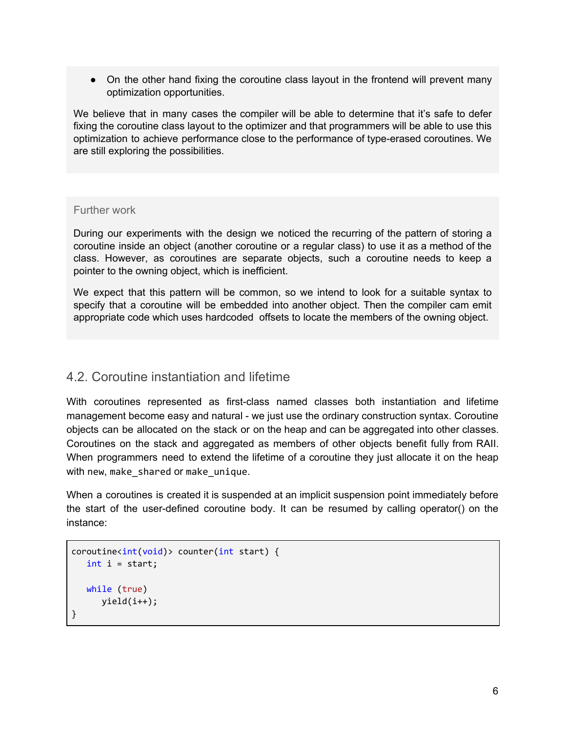• On the other hand fixing the coroutine class layout in the frontend will prevent many optimization opportunities.

We believe that in many cases the compiler will be able to determine that it's safe to defer fixing the coroutine class layout to the optimizer and that programmers will be able to use this optimization to achieve performance close to the performance of type-erased coroutines. We are still exploring the possibilities.

## Further work

During our experiments with the design we noticed the recurring of the pattern of storing a coroutine inside an object (another coroutine or a regular class) to use it as a method of the class. However, as coroutines are separate objects, such a coroutine needs to keep a pointer to the owning object, which is inefficient.

We expect that this pattern will be common, so we intend to look for a suitable syntax to specify that a coroutine will be embedded into another object. Then the compiler cam emit appropriate code which uses hardcoded offsets to locate the members of the owning object.

# <span id="page-6-0"></span>4.2. Coroutine instantiation and lifetime

With coroutines represented as first-class named classes both instantiation and lifetime management become easy and natural - we just use the ordinary construction syntax. Coroutine objects can be allocated on the stack or on the heap and can be aggregated into other classes. Coroutines on the stack and aggregated as members of other objects benefit fully from RAII. When programmers need to extend the lifetime of a coroutine they just allocate it on the heap with new, make shared or make unique.

When a coroutines is created it is suspended at an implicit suspension point immediately before the start of the user-defined coroutine body. It can be resumed by calling operator() on the instance:

```
coroutines\{int(void) > counter(int start) \}int i = start;
   while (true)
      yield(i++);
}
```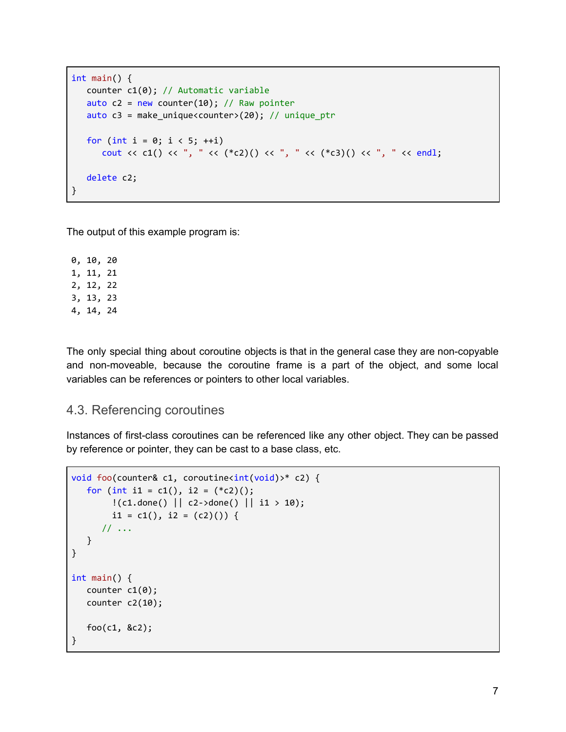```
int main() {
   counter c1(0); // Automatic variable
   auto c2 = new counter(10); // Raw pointerauto c3 = make_unique<counter>(20); // unique_ptr
   for (int i = 0; i < 5; +i)
       cout \langle c c1() \langle c ", " \langle \rangle (*c2)() \langle c ", " \langle c (*c3)() \langle c ", " \langle c endl;
   delete c2;
}
```
The output of this example program is:

0, 10, 20 1, 11, 21 2, 12, 22 3, 13, 23 4, 14, 24

The only special thing about coroutine objects is that in the general case they are non-copyable and non-moveable, because the coroutine frame is a part of the object, and some local variables can be references or pointers to other local variables.

# <span id="page-7-0"></span>4.3. Referencing coroutines

Instances of first-class coroutines can be referenced like any other object. They can be passed by reference or pointer, they can be cast to a base class, etc.

```
void foo(counter& c1, coroutine<int(void)>* c2) {
  for (int i1 = c1(), i2 = (*c2)();
        !(c1.done() || c2->done() || i1 > 10);
       i1 = c1(), i2 = (c2)() {
     // ...
  }
}
int main() {
  counter c1(0);
  counter c2(10);
  foo(c1, &c2);
}
```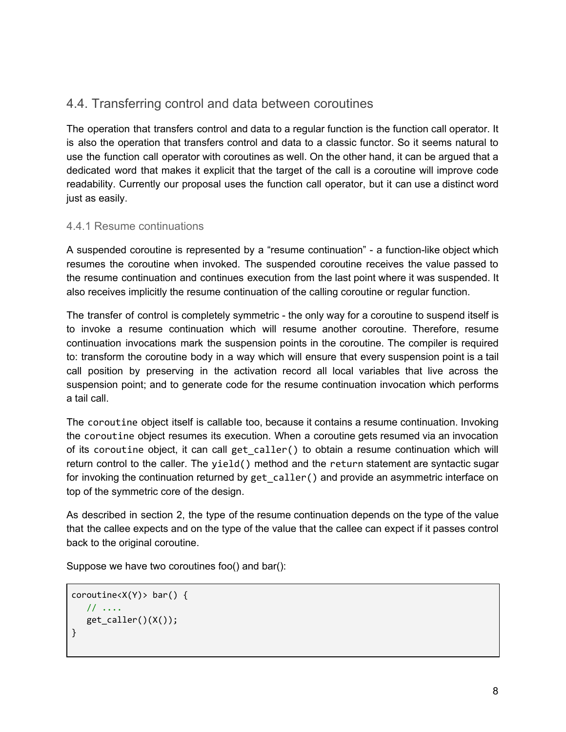# <span id="page-8-0"></span>4.4. Transferring control and data between coroutines

The operation that transfers control and data to a regular function is the function call operator. It is also the operation that transfers control and data to a classic functor. So it seems natural to use the function call operator with coroutines as well. On the other hand, it can be argued that a dedicated word that makes it explicit that the target of the call is a coroutine will improve code readability. Currently our proposal uses the function call operator, but it can use a distinct word just as easily.

# <span id="page-8-1"></span>4.4.1 Resume continuations

A suspended coroutine is represented by a "resume continuation" - a function-like object which resumes the coroutine when invoked. The suspended coroutine receives the value passed to the resume continuation and continues execution from the last point where it was suspended. It also receives implicitly the resume continuation of the calling coroutine or regular function.

The transfer of control is completely symmetric - the only way for a coroutine to suspend itself is to invoke a resume continuation which will resume another coroutine. Therefore, resume continuation invocations mark the suspension points in the coroutine. The compiler is required to: transform the coroutine body in a way which will ensure that every suspension point is a tail call position by preserving in the activation record all local variables that live across the suspension point; and to generate code for the resume continuation invocation which performs a tail call.

The coroutine object itself is callable too, because it contains a resume continuation. Invoking the coroutine object resumes its execution. When a coroutine gets resumed via an invocation of its coroutine object, it can call get\_caller() to obtain a resume continuation which will return control to the caller. The yield() method and the return statement are syntactic sugar for invoking the continuation returned by get\_caller() and provide an asymmetric interface on top of the symmetric core of the design.

As described in section 2, the type of the resume continuation depends on the type of the value that the callee expects and on the type of the value that the callee can expect if it passes control back to the original coroutine.

Suppose we have two coroutines foo() and bar():

```
coroutine<X(Y)> bar() {
  // ....
  get_caller()(X());
}
```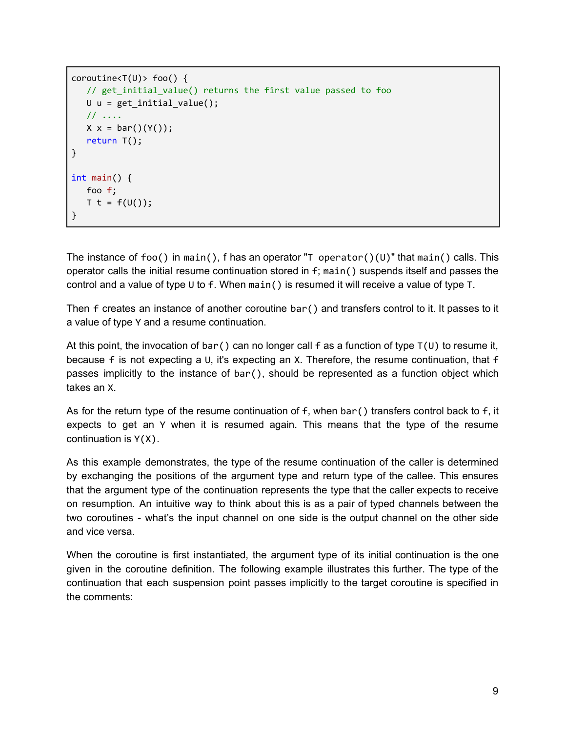```
coroutines < T(U) > foo() {
   // get_initial_value() returns the first value passed to foo
  U u = get\_initial_value();// ....
  X x = \text{bar}() (Y());
   return T();
}
int main() {
  foo f;
  T t = f(U());
}
```
The instance of foo() in main(), f has an operator "T operator()(U)" that main() calls. This operator calls the initial resume continuation stored in f; main() suspends itself and passes the control and a value of type U to f. When main() is resumed it will receive a value of type T.

Then f creates an instance of another coroutine bar() and transfers control to it. It passes to it a value of type Y and a resume continuation.

At this point, the invocation of bar() can no longer call f as a function of type  $T(U)$  to resume it, because f is not expecting a U, it's expecting an X. Therefore, the resume continuation, that f passes implicitly to the instance of bar(), should be represented as a function object which takes an X.

As for the return type of the resume continuation of f, when bar () transfers control back to f, it expects to get an Y when it is resumed again. This means that the type of the resume continuation is  $Y(X)$ .

As this example demonstrates, the type of the resume continuation of the caller is determined by exchanging the positions of the argument type and return type of the callee. This ensures that the argument type of the continuation represents the type that the caller expects to receive on resumption. An intuitive way to think about this is as a pair of typed channels between the two coroutines - what's the input channel on one side is the output channel on the other side and vice versa.

When the coroutine is first instantiated, the argument type of its initial continuation is the one given in the coroutine definition. The following example illustrates this further. The type of the continuation that each suspension point passes implicitly to the target coroutine is specified in the comments: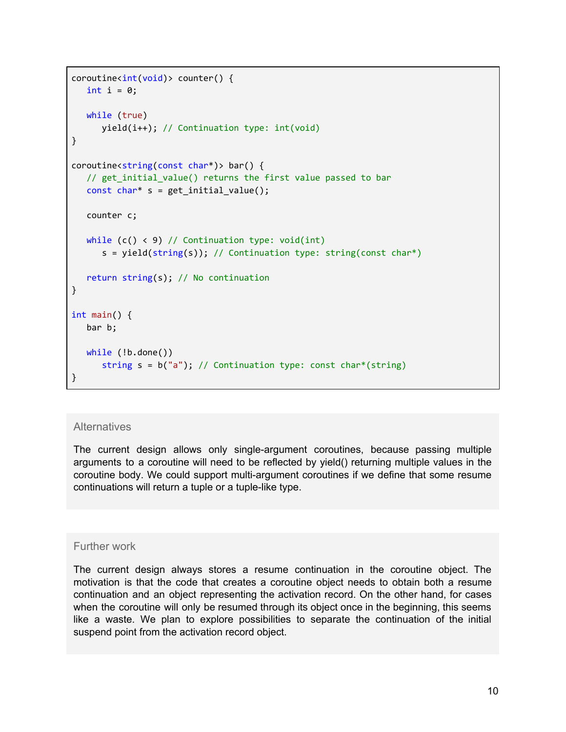```
coroutine<int(void)> counter() {
   int i = 0;
  while (true)
      yield(i++); // Continuation type: int(void)
}
coroutine<string(const char*)> bar() {
   // get_initial_value() returns the first value passed to bar
   const char* s = get\_initial_value();
  counter c;
  while (c() \le 9) // Continuation type: void(int)
      s = yield(string(s)); // Continuation type: string(const char*)
  return string(s); // No continuation
}
int main() {
  bar b;
  while (!b.done())
      string s = b("a"); // Continuation type: const char*(string)
}
```
## **Alternatives**

The current design allows only single-argument coroutines, because passing multiple arguments to a coroutine will need to be reflected by yield() returning multiple values in the coroutine body. We could support multi-argument coroutines if we define that some resume continuations will return a tuple or a tuple-like type.

### Further work

The current design always stores a resume continuation in the coroutine object. The motivation is that the code that creates a coroutine object needs to obtain both a resume continuation and an object representing the activation record. On the other hand, for cases when the coroutine will only be resumed through its object once in the beginning, this seems like a waste. We plan to explore possibilities to separate the continuation of the initial suspend point from the activation record object.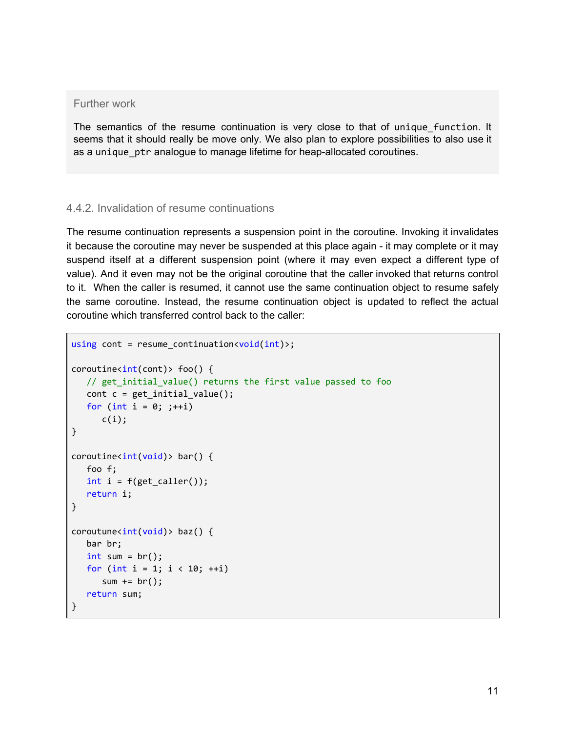## Further work

The semantics of the resume continuation is very close to that of unique\_function. It seems that it should really be move only. We also plan to explore possibilities to also use it as a unique\_ptr analogue to manage lifetime for heap-allocated coroutines.

## <span id="page-11-0"></span>4.4.2. Invalidation of resume continuations

The resume continuation represents a suspension point in the coroutine. Invoking it invalidates it because the coroutine may never be suspended at this place again - it may complete or it may suspend itself at a different suspension point (where it may even expect a different type of value). And it even may not be the original coroutine that the caller invoked that returns control to it. When the caller is resumed, it cannot use the same continuation object to resume safely the same coroutine. Instead, the resume continuation object is updated to reflect the actual coroutine which transferred control back to the caller:

```
using cont = resume_continuation<void(int);
coroutines<int(cont)> foo() {
   // get_initial_value() returns the first value passed to foo
   cont c = get\_initial_value();for (int i = 0; ; ++i)
      c(i);
}
coroutines<int(void) bar() {
   foo f;
   int i = f(\text{get}_caller());
   return i;
}
coroutune<sub>int</sub>(void) > baz() {bar br;
   int sum = br();
   for (int i = 1; i < 10; ++i)sum += br();
   return sum;
}
```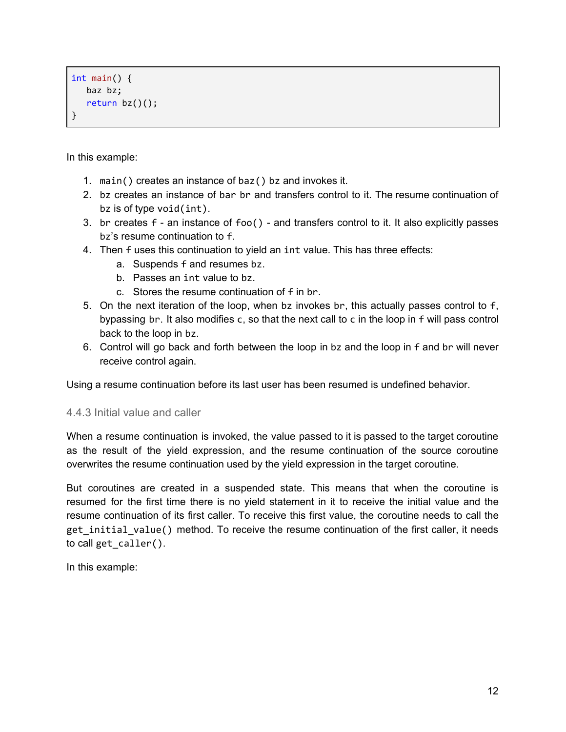```
int main() {
  baz bz;
   return bz()();
}
```
In this example:

- 1. main() creates an instance of baz() bz and invokes it.
- 2. bz creates an instance of bar br and transfers control to it. The resume continuation of bz is of type void(int).
- 3. br creates f an instance of foo() and transfers control to it. It also explicitly passes bz's resume continuation to f.
- 4. Then f uses this continuation to yield an int value. This has three effects:
	- a. Suspends f and resumes bz.
	- b. Passes an int value to bz.
	- c. Stores the resume continuation of f in br.
- 5. On the next iteration of the loop, when bz invokes br, this actually passes control to f, bypassing br. It also modifies c, so that the next call to c in the loop in f will pass control back to the loop in bz.
- 6. Control will go back and forth between the loop in bz and the loop in f and br will never receive control again.

Using a resume continuation before its last user has been resumed is undefined behavior.

## <span id="page-12-0"></span>4.4.3 Initial value and caller

When a resume continuation is invoked, the value passed to it is passed to the target coroutine as the result of the yield expression, and the resume continuation of the source coroutine overwrites the resume continuation used by the yield expression in the target coroutine.

But coroutines are created in a suspended state. This means that when the coroutine is resumed for the first time there is no yield statement in it to receive the initial value and the resume continuation of its first caller. To receive this first value, the coroutine needs to call the get initial value() method. To receive the resume continuation of the first caller, it needs to call get\_caller().

In this example: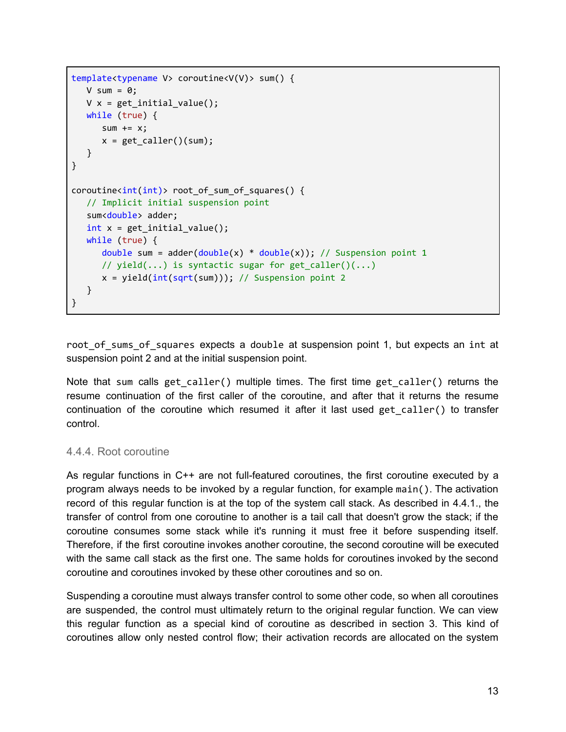```
template<typename V> coroutine<V(V)> sum() {
  V sum = \theta;
  V x = get\_initial_value();while (true) {
      sum += x;x = get\_caller() (sum);}
}
coroutine<int(int)> root of sum of squares() {
  // Implicit initial suspension point
  sum<double> adder;
  int x = get\_initial_value();
  while (true) {
      double sum = adder(double(x) * double(x)); // Suspension point 1
      // yield(...) is syntactic sugar for get caller()(...)
     x = yield(int(sqrt(sum))); // Suspension point 2
  }
}
```
root of sums of squares expects a double at suspension point 1, but expects an int at suspension point 2 and at the initial suspension point.

Note that sum calls get caller() multiple times. The first time get caller() returns the resume continuation of the first caller of the coroutine, and after that it returns the resume continuation of the coroutine which resumed it after it last used get\_caller() to transfer control.

## <span id="page-13-0"></span>4.4.4. Root coroutine

As regular functions in C++ are not full-featured coroutines, the first coroutine executed by a program always needs to be invoked by a regular function, for example main(). The activation record of this regular function is at the top of the system call stack. As described in 4.4.1., the transfer of control from one coroutine to another is a tail call that doesn't grow the stack; if the coroutine consumes some stack while it's running it must free it before suspending itself. Therefore, if the first coroutine invokes another coroutine, the second coroutine will be executed with the same call stack as the first one. The same holds for coroutines invoked by the second coroutine and coroutines invoked by these other coroutines and so on.

Suspending a coroutine must always transfer control to some other code, so when all coroutines are suspended, the control must ultimately return to the original regular function. We can view this regular function as a special kind of coroutine as described in section 3. This kind of coroutines allow only nested control flow; their activation records are allocated on the system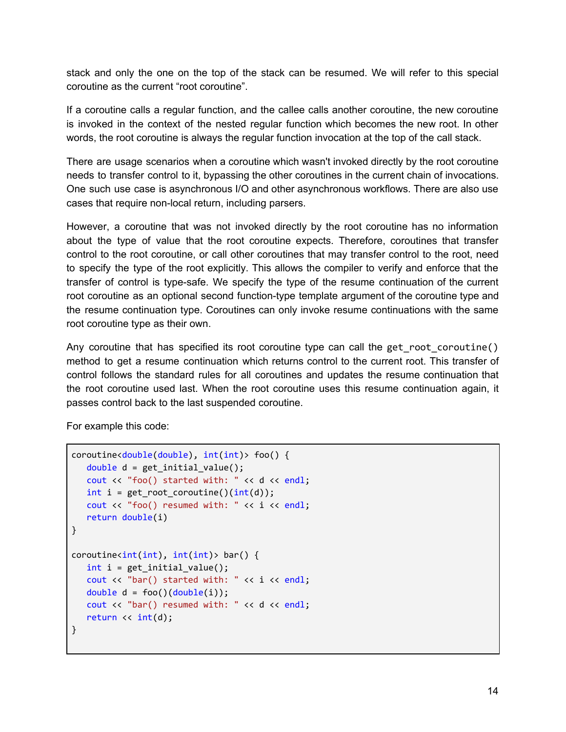stack and only the one on the top of the stack can be resumed. We will refer to this special coroutine as the current "root coroutine".

If a coroutine calls a regular function, and the callee calls another coroutine, the new coroutine is invoked in the context of the nested regular function which becomes the new root. In other words, the root coroutine is always the regular function invocation at the top of the call stack.

There are usage scenarios when a coroutine which wasn't invoked directly by the root coroutine needs to transfer control to it, bypassing the other coroutines in the current chain of invocations. One such use case is asynchronous I/O and other asynchronous workflows. There are also use cases that require non-local return, including parsers.

However, a coroutine that was not invoked directly by the root coroutine has no information about the type of value that the root coroutine expects. Therefore, coroutines that transfer control to the root coroutine, or call other coroutines that may transfer control to the root, need to specify the type of the root explicitly. This allows the compiler to verify and enforce that the transfer of control is type-safe. We specify the type of the resume continuation of the current root coroutine as an optional second function-type template argument of the coroutine type and the resume continuation type. Coroutines can only invoke resume continuations with the same root coroutine type as their own.

Any coroutine that has specified its root coroutine type can call the get root coroutine() method to get a resume continuation which returns control to the current root. This transfer of control follows the standard rules for all coroutines and updates the resume continuation that the root coroutine used last. When the root coroutine uses this resume continuation again, it passes control back to the last suspended coroutine.

For example this code:

```
coroutine<double(double), int(int)> foo() {
  double d = get_initial_value();
  cout << "foo() started with: " << d << endl;
  int i = getroot_c coroutine()(int(d));
  cout << "foo() resumed with: " << i << endl;
  return double(i)
}
coroutines\{int(int), int(int) > bar() \}int i = get\_initial_value();cout << "bar() started with: " << i << endl;
  double d = foo() (double(i));cout << "bar() resumed with: " << d << endl;
  return << int(d);
}
```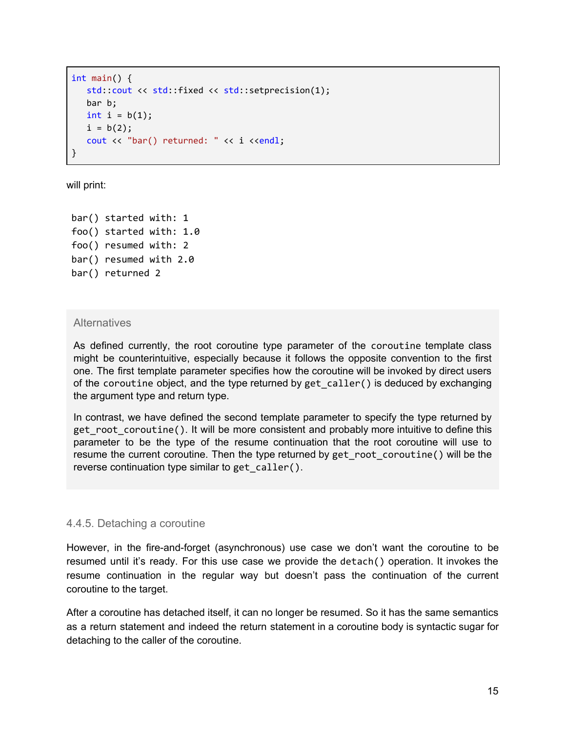```
int main() {
  std::cout << std::fixed << std::setprecision(1);
  bar b;
  int i = b(1);
  i = b(2);
  cout << "bar() returned: " << i <<endl;
}
```
will print:

bar() started with: 1 foo() started with: 1.0 foo() resumed with: 2 bar() resumed with 2.0 bar() returned 2

## **Alternatives**

As defined currently, the root coroutine type parameter of the coroutine template class might be counterintuitive, especially because it follows the opposite convention to the first one. The first template parameter specifies how the coroutine will be invoked by direct users of the coroutine object, and the type returned by get\_caller() is deduced by exchanging the argument type and return type.

In contrast, we have defined the second template parameter to specify the type returned by get root coroutine(). It will be more consistent and probably more intuitive to define this parameter to be the type of the resume continuation that the root coroutine will use to resume the current coroutine. Then the type returned by get\_root\_coroutine() will be the reverse continuation type similar to get\_caller().

## <span id="page-15-0"></span>4.4.5. Detaching a coroutine

However, in the fire-and-forget (asynchronous) use case we don't want the coroutine to be resumed until it's ready. For this use case we provide the detach() operation. It invokes the resume continuation in the regular way but doesn't pass the continuation of the current coroutine to the target.

After a coroutine has detached itself, it can no longer be resumed. So it has the same semantics as a return statement and indeed the return statement in a coroutine body is syntactic sugar for detaching to the caller of the coroutine.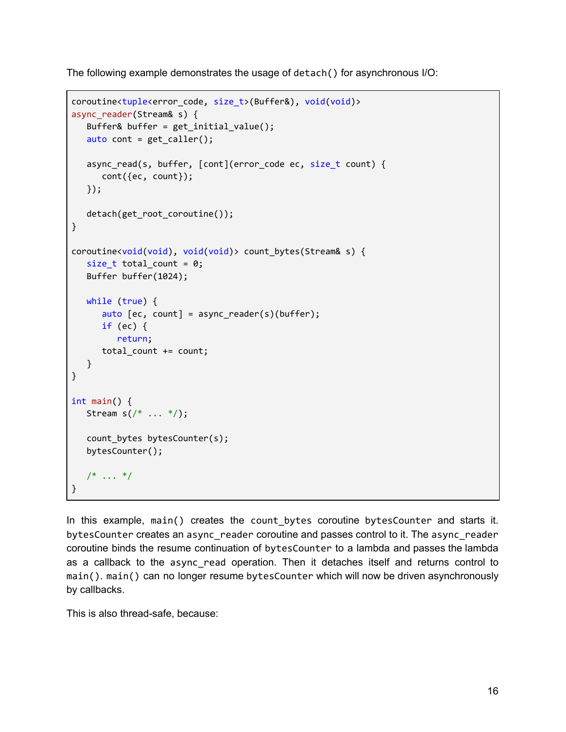The following example demonstrates the usage of detach() for asynchronous I/O:

```
coroutine<tuple<error_code, size_t>(Buffer&), void(void)>
async reader(Stream& s) {
   Buffer& buffer = get_initial_value();
   auto cont = get<sub>caller</sub>();
  async_read(s, buffer, [cont](error_code ec, size_t count) {
      cont({ec, count});
  });
   detach(get_root_coroutine());
}
coroutine<void(void), void(void)> count_bytes(Stream& s) {
   size_t total_count = 0;
  Buffer buffer(1024);
  while (true) {
      auto [ec, count] = async_reader(s)(buffer);
      if (ec) {
         return;
      total_count += count;
   }
}
int main() {
  Stream s \binom{*}{*} ... \binom{*}{};
  count bytes bytesCounter(s);
  bytesCounter();
   /* ... */
}
```
In this example, main() creates the count\_bytes coroutine bytesCounter and starts it. bytesCounter creates an async\_reader coroutine and passes control to it. The async\_reader coroutine binds the resume continuation of bytesCounter to a lambda and passes the lambda as a callback to the async\_read operation. Then it detaches itself and returns control to main(). main() can no longer resume bytesCounter which will now be driven asynchronously by callbacks.

This is also thread-safe, because: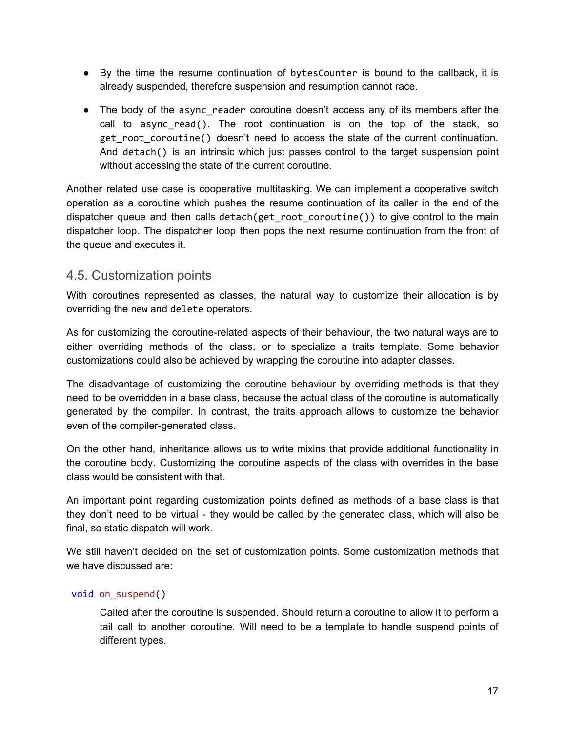- By the time the resume continuation of bytesCounter is bound to the callback, it is already suspended, therefore suspension and resumption cannot race.
- The body of the async reader coroutine doesn't access any of its members after the call to async read(). The root continuation is on the top of the stack, so get root coroutine() doesn't need to access the state of the current continuation. And detach() is an intrinsic which just passes control to the target suspension point without accessing the state of the current coroutine.

Another related use case is cooperative multitasking. We can implement a cooperative switch operation as a coroutine which pushes the resume continuation of its caller in the end of the dispatcher queue and then calls detach(get root coroutine()) to give control to the main dispatcher loop. The dispatcher loop then pops the next resume continuation from the front of the queue and executes it.

# <span id="page-17-0"></span>4.5. Customization points

With coroutines represented as classes, the natural way to customize their allocation is by overriding the new and delete operators.

As for customizing the coroutine-related aspects of their behaviour, the two natural ways are to either overriding methods of the class, or to specialize a traits template. Some behavior customizations could also be achieved by wrapping the coroutine into adapter classes.

The disadvantage of customizing the coroutine behaviour by overriding methods is that they need to be overridden in a base class, because the actual class of the coroutine is automatically generated by the compiler. In contrast, the traits approach allows to customize the behavior even of the compiler-generated class.

On the other hand, inheritance allows us to write mixins that provide additional functionality in the coroutine body. Customizing the coroutine aspects of the class with overrides in the base class would be consistent with that.

An important point regarding customization points defined as methods of a base class is that they don't need to be virtual - they would be called by the generated class, which will also be final, so static dispatch will work.

We still haven't decided on the set of customization points. Some customization methods that we have discussed are:

## void on\_suspend()

Called after the coroutine is suspended. Should return a coroutine to allow it to perform a tail call to another coroutine. Will need to be a template to handle suspend points of different types.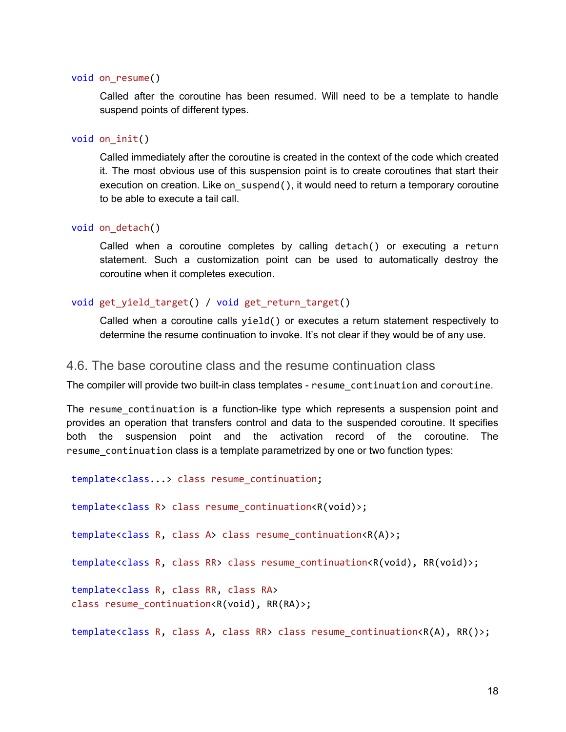#### void on\_resume()

Called after the coroutine has been resumed. Will need to be a template to handle suspend points of different types.

#### void on\_init()

Called immediately after the coroutine is created in the context of the code which created it. The most obvious use of this suspension point is to create coroutines that start their execution on creation. Like on suspend(), it would need to return a temporary coroutine to be able to execute a tail call.

#### void on\_detach()

Called when a coroutine completes by calling detach() or executing a return statement. Such a customization point can be used to automatically destroy the coroutine when it completes execution.

#### void get\_yield\_target() / void get\_return\_target()

Called when a coroutine calls yield() or executes a return statement respectively to determine the resume continuation to invoke. It's not clear if they would be of any use.

### <span id="page-18-0"></span>4.6. The base coroutine class and the resume continuation class

The compiler will provide two built-in class templates - resume\_continuation and coroutine.

The resume continuation is a function-like type which represents a suspension point and provides an operation that transfers control and data to the suspended coroutine. It specifies both the suspension point and the activation record of the coroutine. The resume continuation class is a template parametrized by one or two function types:

template<class...> class resume\_continuation;

template<class R> class resume\_continuation<R(void)>;

template<class R, class A> class resume\_continuation<R(A)>;

template<class R, class RR> class resume\_continuation<R(void), RR(void)>;

template<class R, class RR, class RA> class resume\_continuation<R(void), RR(RA)>;

template<class R, class A, class RR> class resume\_continuation<R(A), RR()>;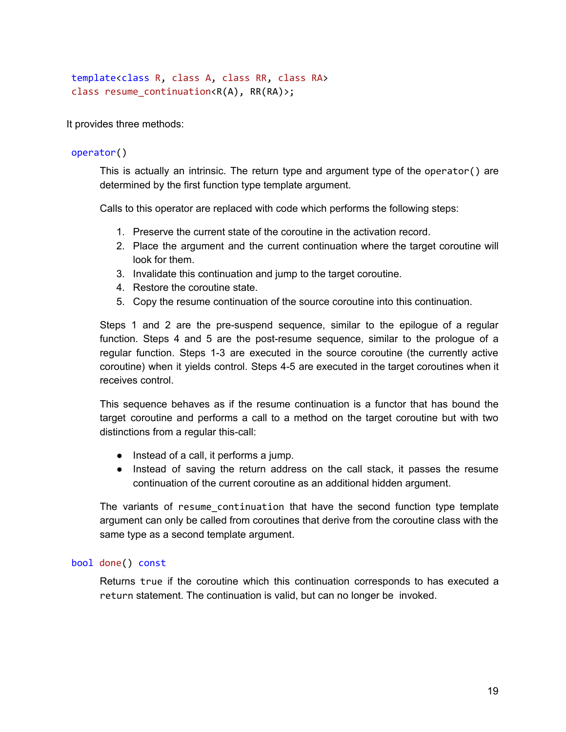```
template<class R, class A, class RR, class RA>
class resume_continuation<R(A), RR(RA)>;
```
It provides three methods:

### operator()

This is actually an intrinsic. The return type and argument type of the operator() are determined by the first function type template argument.

Calls to this operator are replaced with code which performs the following steps:

- 1. Preserve the current state of the coroutine in the activation record.
- 2. Place the argument and the current continuation where the target coroutine will look for them.
- 3. Invalidate this continuation and jump to the target coroutine.
- 4. Restore the coroutine state.
- 5. Copy the resume continuation of the source coroutine into this continuation.

Steps 1 and 2 are the pre-suspend sequence, similar to the epilogue of a regular function. Steps 4 and 5 are the post-resume sequence, similar to the prologue of a regular function. Steps 1-3 are executed in the source coroutine (the currently active coroutine) when it yields control. Steps 4-5 are executed in the target coroutines when it receives control.

This sequence behaves as if the resume continuation is a functor that has bound the target coroutine and performs a call to a method on the target coroutine but with two distinctions from a regular this-call:

- Instead of a call, it performs a jump.
- Instead of saving the return address on the call stack, it passes the resume continuation of the current coroutine as an additional hidden argument.

The variants of resume continuation that have the second function type template argument can only be called from coroutines that derive from the coroutine class with the same type as a second template argument.

#### bool done() const

Returns true if the coroutine which this continuation corresponds to has executed a return statement. The continuation is valid, but can no longer be invoked.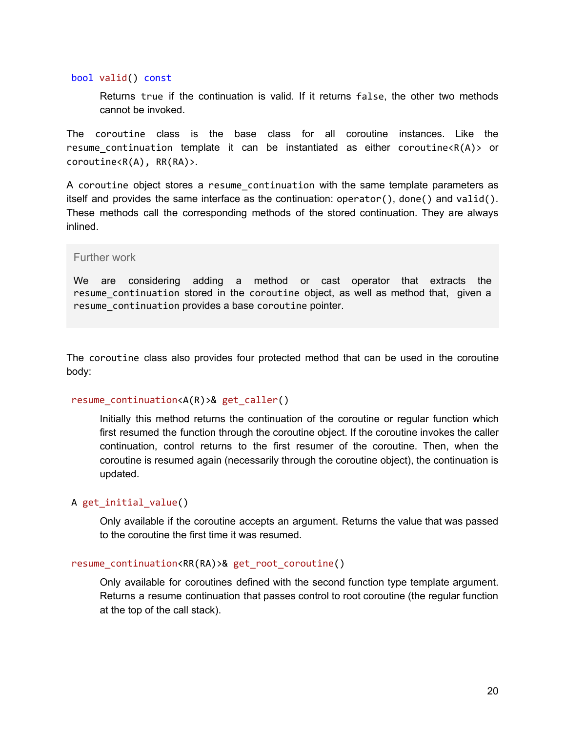#### bool valid() const

Returns true if the continuation is valid. If it returns false, the other two methods cannot be invoked.

The coroutine class is the base class for all coroutine instances. Like the resume continuation template it can be instantiated as either coroutine< $R(A)$ > or coroutine<R(A), RR(RA)>.

A coroutine object stores a resume continuation with the same template parameters as itself and provides the same interface as the continuation: operator(), done() and valid(). These methods call the corresponding methods of the stored continuation. They are always inlined.

#### Further work

We are considering adding a method or cast operator that extracts the resume continuation stored in the coroutine object, as well as method that, given a resume continuation provides a base coroutine pointer.

The coroutine class also provides four protected method that can be used in the coroutine body:

#### resume\_continuation<A(R)>& get\_caller()

Initially this method returns the continuation of the coroutine or regular function which first resumed the function through the coroutine object. If the coroutine invokes the caller continuation, control returns to the first resumer of the coroutine. Then, when the coroutine is resumed again (necessarily through the coroutine object), the continuation is updated.

## A get\_initial\_value()

Only available if the coroutine accepts an argument. Returns the value that was passed to the coroutine the first time it was resumed.

#### resume\_continuation<RR(RA)>& get\_root\_coroutine()

Only available for coroutines defined with the second function type template argument. Returns a resume continuation that passes control to root coroutine (the regular function at the top of the call stack).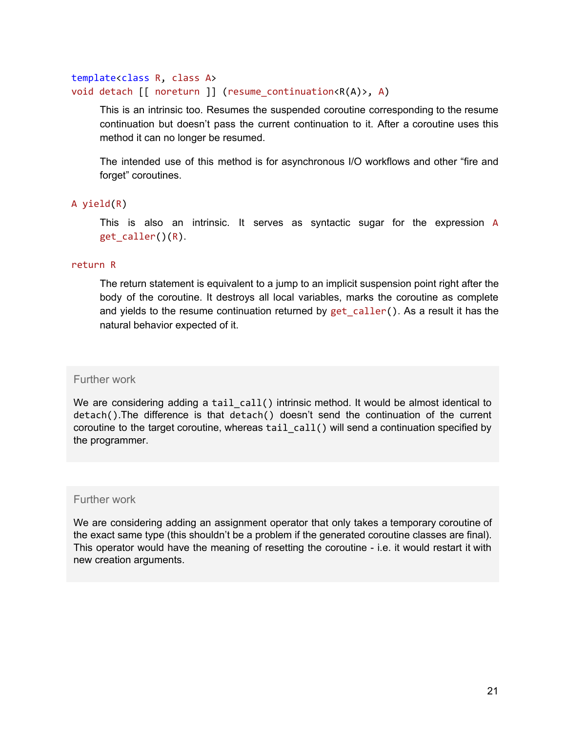## template<class R, class A> void detach [[ noreturn ]] (resume\_continuation<R(A)>, A)

This is an intrinsic too. Resumes the suspended coroutine corresponding to the resume continuation but doesn't pass the current continuation to it. After a coroutine uses this method it can no longer be resumed.

The intended use of this method is for asynchronous I/O workflows and other "fire and forget" coroutines.

## A yield(R)

This is also an intrinsic. It serves as syntactic sugar for the expression A get\_caller()(R).

#### return R

The return statement is equivalent to a jump to an implicit suspension point right after the body of the coroutine. It destroys all local variables, marks the coroutine as complete and yields to the resume continuation returned by get caller(). As a result it has the natural behavior expected of it.

#### Further work

We are considering adding a tail call() intrinsic method. It would be almost identical to detach().The difference is that detach() doesn't send the continuation of the current coroutine to the target coroutine, whereas  $tail$   $call()$  will send a continuation specified by the programmer.

### Further work

We are considering adding an assignment operator that only takes a temporary coroutine of the exact same type (this shouldn't be a problem if the generated coroutine classes are final). This operator would have the meaning of resetting the coroutine - i.e. it would restart it with new creation arguments.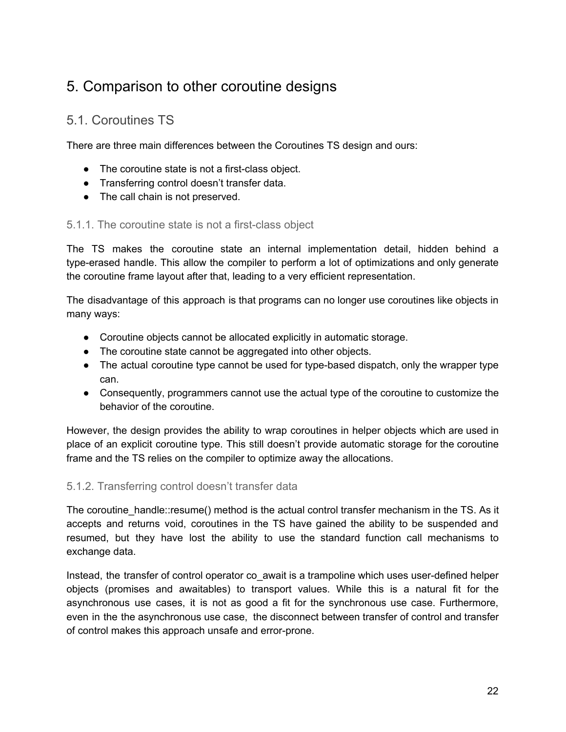# <span id="page-22-0"></span>5. Comparison to other coroutine designs

# <span id="page-22-1"></span>5.1. Coroutines TS

There are three main differences between the Coroutines TS design and ours:

- The coroutine state is not a first-class object.
- Transferring control doesn't transfer data.
- The call chain is not preserved.

## 5.1.1. The coroutine state is not a first-class object

The TS makes the coroutine state an internal implementation detail, hidden behind a type-erased handle. This allow the compiler to perform a lot of optimizations and only generate the coroutine frame layout after that, leading to a very efficient representation.

The disadvantage of this approach is that programs can no longer use coroutines like objects in many ways:

- Coroutine objects cannot be allocated explicitly in automatic storage.
- The coroutine state cannot be aggregated into other objects.
- The actual coroutine type cannot be used for type-based dispatch, only the wrapper type can.
- Consequently, programmers cannot use the actual type of the coroutine to customize the behavior of the coroutine.

However, the design provides the ability to wrap coroutines in helper objects which are used in place of an explicit coroutine type. This still doesn't provide automatic storage for the coroutine frame and the TS relies on the compiler to optimize away the allocations.

## 5.1.2. Transferring control doesn't transfer data

The coroutine handle::resume() method is the actual control transfer mechanism in the TS. As it accepts and returns void, coroutines in the TS have gained the ability to be suspended and resumed, but they have lost the ability to use the standard function call mechanisms to exchange data.

Instead, the transfer of control operator co await is a trampoline which uses user-defined helper objects (promises and awaitables) to transport values. While this is a natural fit for the asynchronous use cases, it is not as good a fit for the synchronous use case. Furthermore, even in the the asynchronous use case, the disconnect between transfer of control and transfer of control makes this approach unsafe and error-prone.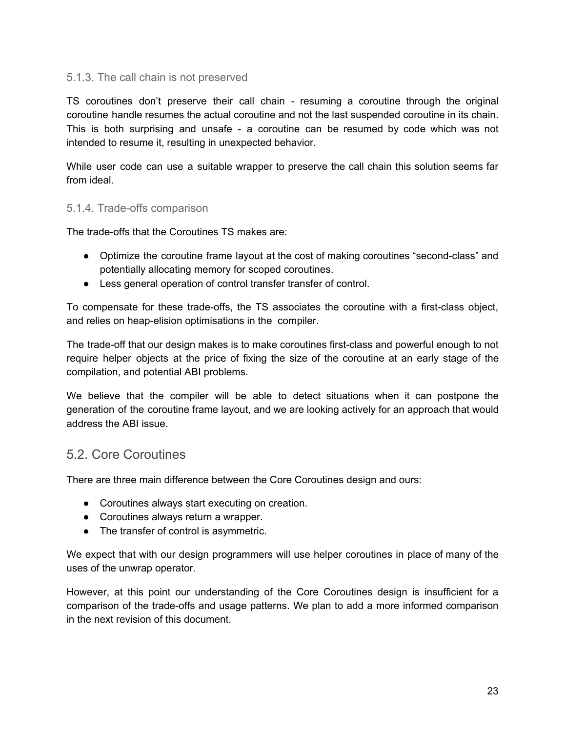# 5.1.3. The call chain is not preserved

TS coroutines don't preserve their call chain - resuming a coroutine through the original coroutine handle resumes the actual coroutine and not the last suspended coroutine in its chain. This is both surprising and unsafe - a coroutine can be resumed by code which was not intended to resume it, resulting in unexpected behavior.

While user code can use a suitable wrapper to preserve the call chain this solution seems far from ideal.

## 5.1.4. Trade-offs comparison

The trade-offs that the Coroutines TS makes are:

- Optimize the coroutine frame layout at the cost of making coroutines "second-class" and potentially allocating memory for scoped coroutines.
- Less general operation of control transfer transfer of control.

To compensate for these trade-offs, the TS associates the coroutine with a first-class object, and relies on heap-elision optimisations in the compiler.

The trade-off that our design makes is to make coroutines first-class and powerful enough to not require helper objects at the price of fixing the size of the coroutine at an early stage of the compilation, and potential ABI problems.

We believe that the compiler will be able to detect situations when it can postpone the generation of the coroutine frame layout, and we are looking actively for an approach that would address the ABI issue.

# <span id="page-23-0"></span>5.2. Core Coroutines

There are three main difference between the Core Coroutines design and ours:

- Coroutines always start executing on creation.
- Coroutines always return a wrapper.
- The transfer of control is asymmetric.

We expect that with our design programmers will use helper coroutines in place of many of the uses of the unwrap operator.

However, at this point our understanding of the Core Coroutines design is insufficient for a comparison of the trade-offs and usage patterns. We plan to add a more informed comparison in the next revision of this document.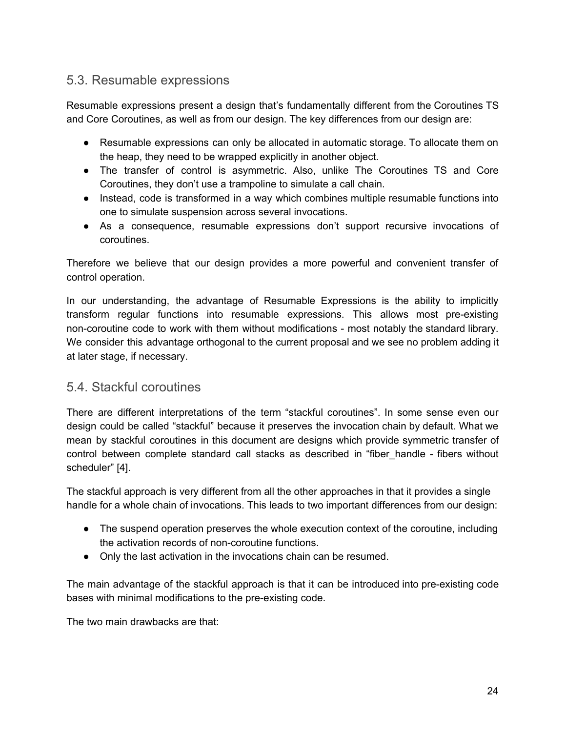# <span id="page-24-0"></span>5.3. Resumable expressions

Resumable expressions present a design that's fundamentally different from the Coroutines TS and Core Coroutines, as well as from our design. The key differences from our design are:

- Resumable expressions can only be allocated in automatic storage. To allocate them on the heap, they need to be wrapped explicitly in another object.
- The transfer of control is asymmetric. Also, unlike The Coroutines TS and Core Coroutines, they don't use a trampoline to simulate a call chain.
- Instead, code is transformed in a way which combines multiple resumable functions into one to simulate suspension across several invocations.
- As a consequence, resumable expressions don't support recursive invocations of coroutines.

Therefore we believe that our design provides a more powerful and convenient transfer of control operation.

In our understanding, the advantage of Resumable Expressions is the ability to implicitly transform regular functions into resumable expressions. This allows most pre-existing non-coroutine code to work with them without modifications - most notably the standard library. We consider this advantage orthogonal to the current proposal and we see no problem adding it at later stage, if necessary.

# <span id="page-24-1"></span>5.4. Stackful coroutines

There are different interpretations of the term "stackful coroutines". In some sense even our design could be called "stackful" because it preserves the invocation chain by default. What we mean by stackful coroutines in this document are designs which provide symmetric transfer of control between complete standard call stacks as described in "fiber\_handle - fibers without scheduler" [4].

The stackful approach is very different from all the other approaches in that it provides a single handle for a whole chain of invocations. This leads to two important differences from our design:

- The suspend operation preserves the whole execution context of the coroutine, including the activation records of non-coroutine functions.
- Only the last activation in the invocations chain can be resumed.

The main advantage of the stackful approach is that it can be introduced into pre-existing code bases with minimal modifications to the pre-existing code.

The two main drawbacks are that: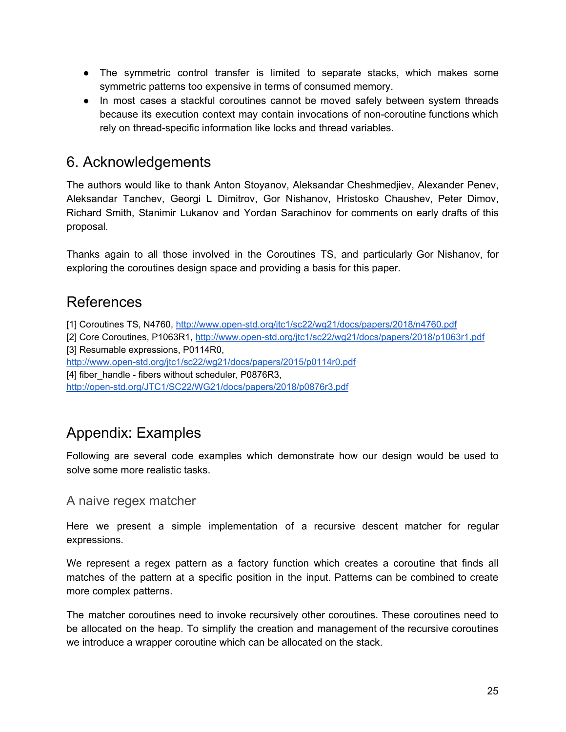- The symmetric control transfer is limited to separate stacks, which makes some symmetric patterns too expensive in terms of consumed memory.
- In most cases a stackful coroutines cannot be moved safely between system threads because its execution context may contain invocations of non-coroutine functions which rely on thread-specific information like locks and thread variables.

# <span id="page-25-0"></span>6. Acknowledgements

The authors would like to thank Anton Stoyanov, Aleksandar Cheshmedjiev, Alexander Penev, Aleksandar Tanchev, Georgi L Dimitrov, Gor Nishanov, Hristosko Chaushev, Peter Dimov, Richard Smith, Stanimir Lukanov and Yordan Sarachinov for comments on early drafts of this proposal.

Thanks again to all those involved in the Coroutines TS, and particularly Gor Nishanov, for exploring the coroutines design space and providing a basis for this paper.

# <span id="page-25-1"></span>References

[1] Coroutines TS, N4760, <http://www.open-std.org/jtc1/sc22/wg21/docs/papers/2018/n4760.pdf> [2] Core Coroutines, P1063R1, <http://www.open-std.org/jtc1/sc22/wg21/docs/papers/2018/p1063r1.pdf> [3] Resumable expressions, P0114R0, <http://www.open-std.org/jtc1/sc22/wg21/docs/papers/2015/p0114r0.pdf>

[4] fiber\_handle - fibers without scheduler, P0876R3,

<http://open-std.org/JTC1/SC22/WG21/docs/papers/2018/p0876r3.pdf>

# <span id="page-25-2"></span>Appendix: Examples

Following are several code examples which demonstrate how our design would be used to solve some more realistic tasks.

# <span id="page-25-3"></span>A naive regex matcher

Here we present a simple implementation of a recursive descent matcher for regular expressions.

We represent a regex pattern as a factory function which creates a coroutine that finds all matches of the pattern at a specific position in the input. Patterns can be combined to create more complex patterns.

The matcher coroutines need to invoke recursively other coroutines. These coroutines need to be allocated on the heap. To simplify the creation and management of the recursive coroutines we introduce a wrapper coroutine which can be allocated on the stack.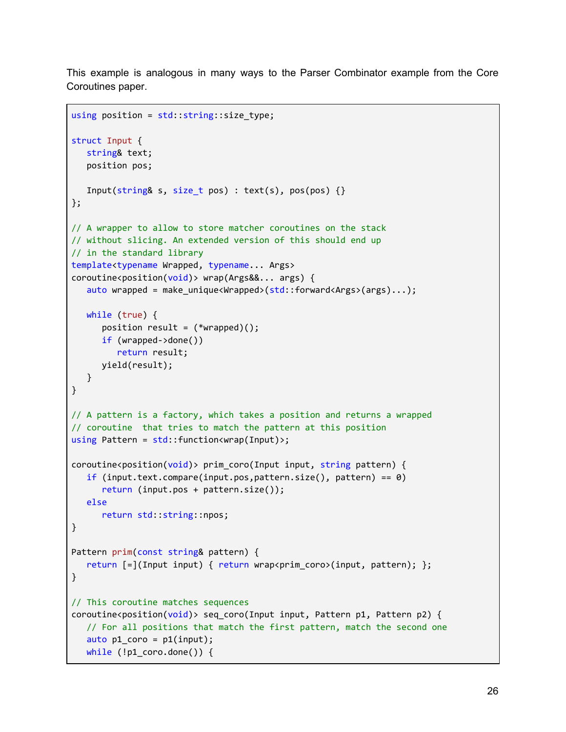This example is analogous in many ways to the Parser Combinator example from the Core Coroutines paper.

```
using position = std::string::size_type;struct Input {
  string& text;
   position pos;
   Input(string& s, size_t pos) : text(s), pos(pos) \{\}};
// A wrapper to allow to store matcher coroutines on the stack
// without slicing. An extended version of this should end up
// in the standard library
template<typename Wrapped, typename... Args>
coroutine<position(void)> wrap(Args&&... args) {
   auto wrapped = make_unique<Wrapped>(std::forward<Args>(args)...);
  while (true) {
      position result = (*wrapped));
      if (wrapped->done())
         return result;
      yield(result);
  }
}
// A pattern is a factory, which takes a position and returns a wrapped
// coroutine that tries to match the pattern at this position
using Pattern = std::function<wrap(Input)>;
coroutines <i>position(void)</i> > prim <math>coro(Input \text{ input}, \text{string pattern})</math> {if (input.text.compare(input.pos,pattern.size(), pattern) == \theta)
      return (input.pos + pattern.size());
   else
      return std::string::npos;
}
Pattern prim(const string& pattern) {
   return [=](Input input) { return wrap<prim_coro>(input, pattern); };
}
// This coroutine matches sequences
coroutine<position(void)> seq_coro(Input input, Pattern p1, Pattern p2) {
  // For all positions that match the first pattern, match the second one
  auto p1_coro = p1(input);
  while (!p1_coro.done()) {
```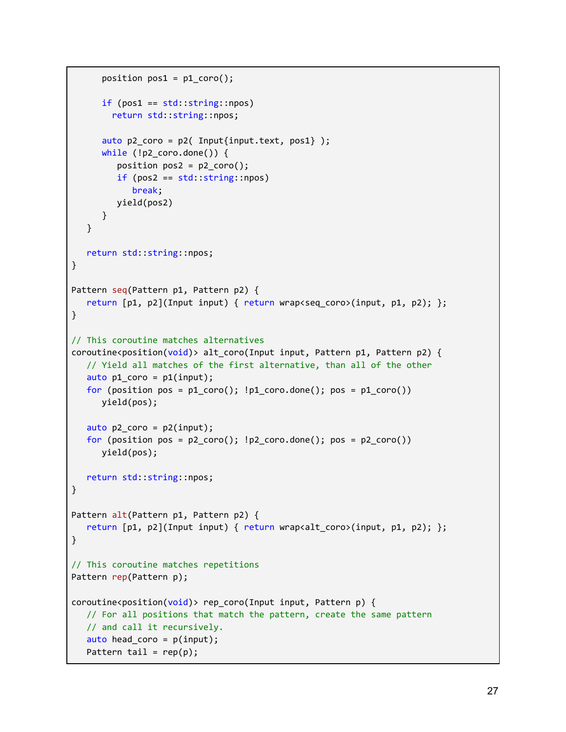```
position pos1 = p1\_coro();
      if (pos1 == std::string::npos)return std::string::npos;
      auto p2\_{\text{core}} = p2( Input{input.text, pos1} );
      while (!p2_coro.done()) {
         position pos2 = p2\ncoro();
         if (pos2 == std::string::npos)break;
         yield(pos2)
      }
   }
   return std::string::npos;
}
Pattern seq(Pattern p1, Pattern p2) {
   return [p1, p2](Input input) { return wrap<seq_coro>(input, p1, p2); };
}
// This coroutine matches alternatives
coroutine<position(void)> alt_coro(Input input, Pattern p1, Pattern p2) {
   // Yield all matches of the first alternative, than all of the other
  auto p1 coro = p1(input);
  for (position pos = p1\_{\text{core}}); lp1\_{\text{core}} (); pos = p1\_{\text{core}}))
      yield(pos);
  auto p2_coro = p2(input);
  for (position pos = p2\ncoro(); lp2\ncoro.done(); pos = p2\ncoro()yield(pos);
  return std::string::npos;
}
Pattern alt(Pattern p1, Pattern p2) {
   return [p1, p2](Input input) { return wrap<alt_coro>(input, p1, p2); };
}
// This coroutine matches repetitions
Pattern rep(Pattern p);
coroutines <i>position(void)</i> > rep coro(Input input, Pattern p) {// For all positions that match the pattern, create the same pattern
  // and call it recursively.
  auto head_coro = p(input);
  Pattern tail = rep(p);
```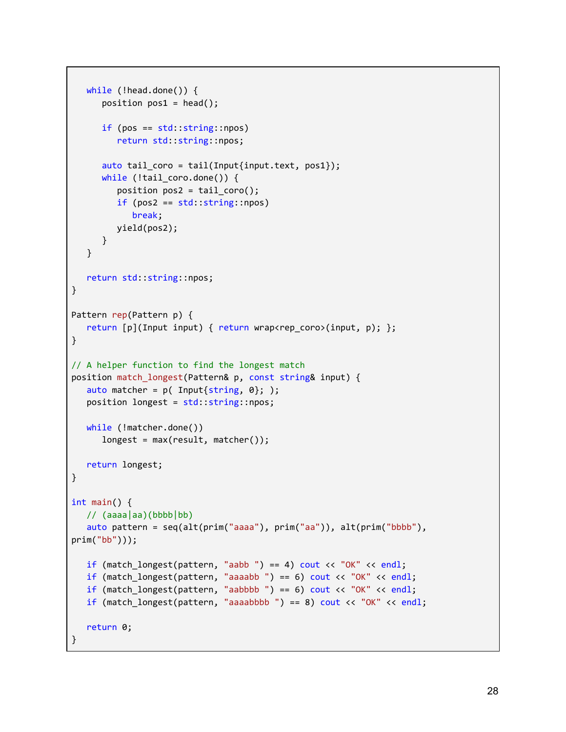```
while (!head.done()) {
      position pos1 = head();
      if (pos == std::string::npos)
         return std::string::npos;
      auto tail_coro = tail(Input{input.text, pos1});
      while (!tail_coro.done()) {
         position pos2 = tail\_coro();
         if (pos2 == std::string::npos)
            break;
        yield(pos2);
      }
   }
   return std::string::npos;
}
Pattern rep(Pattern p) {
  return [p](Input input) { return wrap<rep_coro>(input, p); };
}
// A helper function to find the longest match
position match_longest(Pattern& p, const string& input) {
   auto matcher = p( Input\{string, 0\}; );
  position longest = std::string::npos;
  while (!matcher.done())
      longest = max(result, matcher());return longest;
}
int main() {
  1/ (aaaa | aa)(bbbb | bb)
   auto pattern = seq(alt(prim("aaaa"), prim("aa")), alt(prim("bbbb"),
prim("bb")));
  if (match_longest(pattern, "aabb ") == 4) cout << "OK" << endl;
  if (match_longest(pattern, "aaaabb ") == 6) cout << "OK" << endl;
  if (match_longest(pattern, "aabbbb ") == 6) cout << "OK" << endl;
  if (match longest(pattern, "aaaabbbb ") == 8) cout << "OK" << endl;
  return 0;
}
```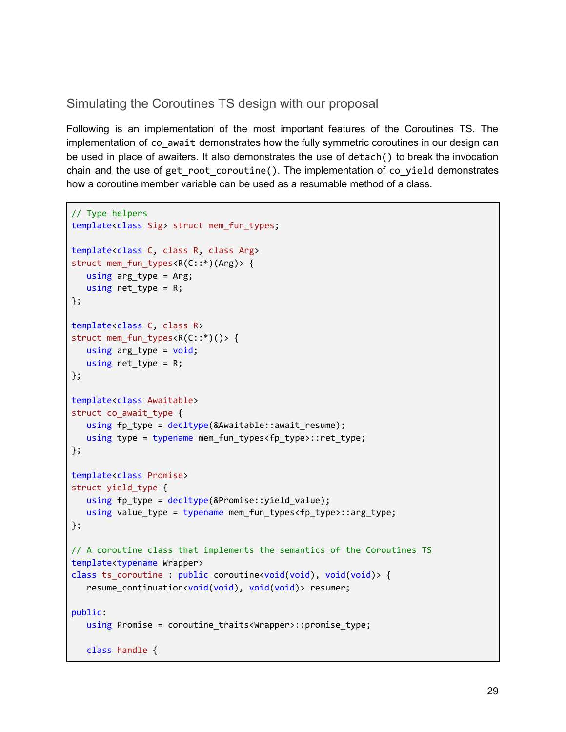# <span id="page-29-0"></span>Simulating the Coroutines TS design with our proposal

Following is an implementation of the most important features of the Coroutines TS. The implementation of co\_await demonstrates how the fully symmetric coroutines in our design can be used in place of awaiters. It also demonstrates the use of detach() to break the invocation chain and the use of get root coroutine(). The implementation of co-yield demonstrates how a coroutine member variable can be used as a resumable method of a class.

```
// Type helpers
template<class Sig> struct mem_fun_types;
template<class C, class R, class Arg>
struct mem_fun_types<R(C::*)(Arg)> {
  using arg_type = Arg;
  using ret_type = R;
};
template<class C, class R>
struct mem_fun_types<R(C::*)()> {
  using arg_type = void;
  using ret_type = R;
};
template<class Awaitable>
struct co_await_type {
  using fp_type = decltype(&Awaitable::await_resume);
  using type = typename mem_fun_types<fp_type>::ret_type;
};
template<class Promise>
struct yield_type {
  using fp_type = decltype(&Promise::yield_value);
  using value_type = typename mem_fun_types<fp_type>::arg_type;
};
// A coroutine class that implements the semantics of the Coroutines TS
template<typename Wrapper>
class ts_coroutine : public coroutine<void(void), void(void)> {
  resume_continuation<void(void), void(void)> resumer;
public:
  using Promise = coroutine_traits<Wrapper>::promise_type;
  class handle {
```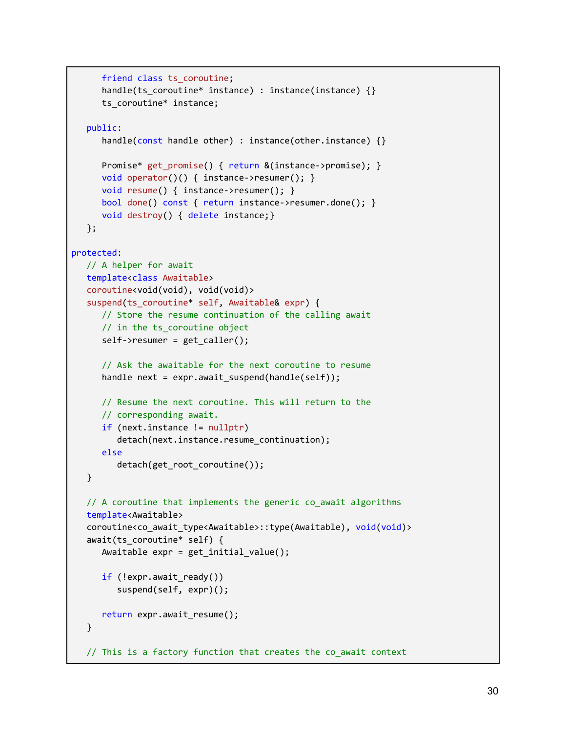```
friend class ts coroutine;
     handle(ts_coroutine* instance) : instance(instance) {}
     ts coroutine* instance;
  public:
     handle(const handle other) : instance(other.instance) {}
     Promise* get_promise() { return &(instance->promise); }
     void operator()() { instance->resumer(); }
     void resume() { instance->resumer(); }
     bool done() const { return instance->resumer.done(); }
     void destroy() { delete instance;}
  };
protected:
  // A helper for await
  template<class Awaitable>
  coroutine<void(void), void(void)>
  suspend(ts_coroutine* self, Awaitable& expr) {
     // Store the resume continuation of the calling await
     // in the ts_coroutine object
     self->resumer = get_caller();
     // Ask the awaitable for the next coroutine to resume
     handle next = expr.await suspend(handle(self));
     // Resume the next coroutine. This will return to the
     // corresponding await.
     if (next.instance != nullptr)
         detach(next.instance.resume_continuation);
     else
         detach(get_root_coroutine());
  }
  // A coroutine that implements the generic co_await algorithms
  template<Awaitable>
  coroutine<co_await_type<Awaitable>::type(Awaitable), void(void)>
  await(ts_coroutine* self) {
     Awaitable expr = get_initial_value();
     if (!expr.await_ready())
         suspend(self, expr)();
     return expr.await_resume();
  }
  // This is a factory function that creates the co_await context
```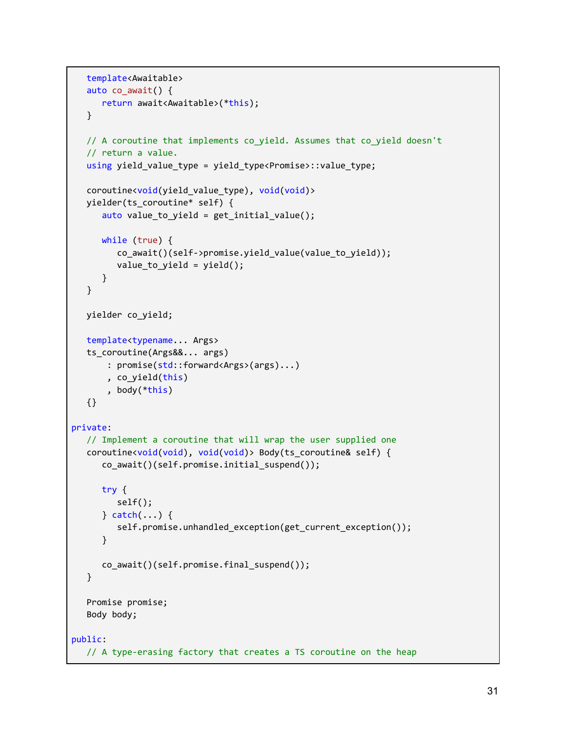```
template<Awaitable>
  auto co_await() {
     return await<Awaitable>(*this);
  }
  // A coroutine that implements co_yield. Assumes that co_yield doesn't
  // return a value.
  using yield_value_type = yield_type<Promise>::value_type;
  coroutine<void(yield_value_type), void(void)>
  yielder(ts_coroutine* self) {
     auto value_to_yield = get_initial_value();
     while (true) {
         co_await()(self->promise.yield_value(value_to_yield));
         value to yield = yield();
     }
  }
  yielder co_yield;
  template<typename... Args>
  ts_coroutine(Args&&... args)
       : promise(std::forward<Args>(args)...)
       , co_yield(this)
      , body(*this)
  {}
private:
  // Implement a coroutine that will wrap the user supplied one
  coroutine<void(void), void(void)> Body(ts_coroutine& self) {
     co_await()(self.promise.initial_suspend());
     try {
         self();
     } catch(...) {
         self.promise.unhandled_exception(get_current_exception());
     }
     co_await()(self.promise.final_suspend());
  }
  Promise promise;
  Body body;
public:
  // A type-erasing factory that creates a TS coroutine on the heap
```